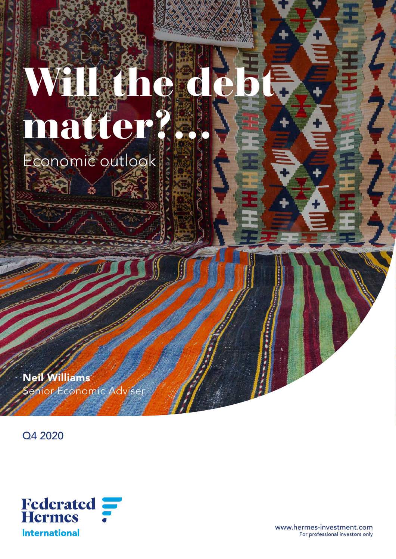# Will the debt. matter?… Economic outlook

Neil Williams enior Economic Adviser

ģ.

Q4 2020



www.hermes-investment.com For professional investors only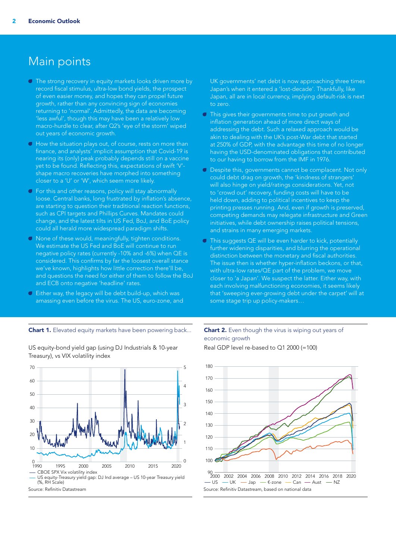### Main points

- $\Box$  The strong recovery in equity markets looks driven more by record fiscal stimulus, ultra-low bond yields, the prospect of even easier money, and hopes they can propel future growth, rather than any convincing sign of economies returning to 'normal'. Admittedly, the data are becoming 'less awful', though this may have been a relatively low macro-hurdle to clear, after Q2's 'eye of the storm' wiped out years of economic growth.
- $\blacksquare$  How the situation plays out, of course, rests on more than finance, and analysts' implicit assumption that Covid-19 is nearing its (only) peak probably depends still on a vaccine yet to be found. Reflecting this, expectations of swift 'V' shape macro recoveries have morphed into something closer to a 'U' or 'W', which seem more likely.
- **T** For this and other reasons, policy will stay abnormally loose. Central banks, long frustrated by inflation's absence, are starting to question their traditional reaction functions, such as CPI targets and Phillips Curves. Mandates could change, and the latest tilts in US Fed, BoJ, and BoE policy could all herald more widespread paradigm shifts.
- A None of these would, meaningfully, tighten conditions. We estimate the US Fed and BoE will continue to run negative policy rates (currently -10% and -6%) when QE is considered. This confirms by far the loosest overall stance we've known, highlights how little correction there'll be, and questions the need for either of them to follow the BoJ and ECB onto negative 'headline' rates.
- Either way, the legacy will be debt build-up, which was amassing even before the virus. The US, euro-zone, and

Chart 1. Elevated equity markets have been powering back... Chart 2. Even though the virus is wiping out years of

US equity-Treasury yield gap: DJ Ind average – US 10-year Treasury yield (%, RH Scale) CBOE SPX Vix volatility index 1990 1995 2000 2005 2010 2015 2020  $0 - 1990$ 10 20 30 40  $50$  $60$ 70 0 1 2 3 4 5

UK governments' net debt is now approaching three times Japan's when it entered a 'lost-decade'. Thankfully, like Japan, all are in local currency, implying default-risk is next to zero.

- **This gives their governments time to put growth and** inflation generation ahead of more direct ways of addressing the debt. Such a relaxed approach would be akin to dealing with the UK's post-War debt that started at 250% of GDP, with the advantage this time of no longer having the USD-denominated obligations that contributed to our having to borrow from the IMF in 1976.
- A Despite this, governments cannot be complacent. Not only could debt drag on growth, the 'kindness of strangers' will also hinge on yield/ratings considerations. Yet, not to 'crowd out' recovery, funding costs will have to be held down, adding to political incentives to keep the printing presses running. And, even if growth is preserved, competing demands may relegate infrastructure and Green initiatives, while debt ownership raises political tensions, and strains in many emerging markets.
- $\blacksquare$  This suggests QE will be even harder to kick, potentially further widening disparities, and blurring the operational distinction between the monetary and fiscal authorities. The issue then is whether hyper-inflation beckons, or that, with ultra-low rates/QE part of the problem, we move closer to 'a Japan'. We suspect the latter. Either way, with each involving malfunctioning economies, it seems likely that 'sweeping ever-growing debt under the carpet' will at some stage trip up policy-makers…

### Real GDP level re-based to Q1 2000 (=100) economic growth



 $-$  US  $-$  UK  $-$  Jap  $\epsilon$ -zone  $-$  Can  $-$  Aust  $-$  NZ Source: Refinitiv Datastream Source: Refinitiv Datastream, based on national data

#### US equity-bond yield gap (using DJ Industrials & 10-year Treasury), vs VIX volatility index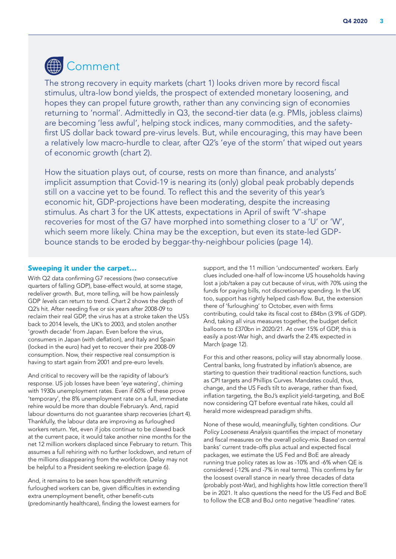# Comment

The strong recovery in equity markets (chart 1) looks driven more by record fiscal stimulus, ultra-low bond yields, the prospect of extended monetary loosening, and hopes they can propel future growth, rather than any convincing sign of economies returning to 'normal'. Admittedly in Q3, the second-tier data (e.g. PMIs, jobless claims) are becoming 'less awful', helping stock indices, many commodities, and the safetyfirst US dollar back toward pre-virus levels. But, while encouraging, this may have been a relatively low macro-hurdle to clear, after Q2's 'eye of the storm' that wiped out years of economic growth (chart 2).

How the situation plays out, of course, rests on more than finance, and analysts' implicit assumption that Covid-19 is nearing its (only) global peak probably depends still on a vaccine yet to be found. To reflect this and the severity of this year's economic hit, GDP-projections have been moderating, despite the increasing stimulus. As chart 3 for the UK attests, expectations in April of swift 'V'-shape recoveries for most of the G7 have morphed into something closer to a 'U' or 'W', which seem more likely. China may be the exception, but even its state-led GDPbounce stands to be eroded by beggar-thy-neighbour policies (page 14).

### Sweeping it under the carpet…

With Q2 data confirming G7 recessions (two consecutive quarters of falling GDP), base-effect would, at some stage, redeliver growth. But, more telling, will be how painlessly GDP *levels* can return to trend. Chart 2 shows the depth of Q2's hit. After needing five or six years after 2008-09 to reclaim their real GDP, the virus has at a stroke taken the US's back to 2014 levels, the UK's to 2003, and stolen another 'growth decade' from Japan. Even before the virus, consumers in Japan (with deflation), and Italy and Spain (locked in the euro) had yet to recover their pre 2008-09 consumption. Now, their respective real consumption is having to start again from 2001 and pre-euro levels.

And critical to recovery will be the rapidity of labour's response. US job losses have been 'eye watering', chiming with 1930s unemployment rates. Even if 60% of these prove 'temporary', the 8% unemployment rate on a full, immediate rehire would be more than double February's. And, rapid labour downturns do not guarantee sharp recoveries (chart 4). Thankfully, the labour data are improving as furloughed workers return. Yet, even if jobs continue to be clawed back at the current pace, it would take another nine months for the net 12 million workers displaced since February to return. This assumes a full rehiring with no further lockdown, and return of the millions disappearing from the workforce. Delay may not be helpful to a President seeking re-election (page 6).

And, it remains to be seen how spendthrift returning furloughed workers can be, given difficulties in extending extra unemployment benefit, other benefit-cuts (predominantly healthcare), finding the lowest earners for

support, and the 11 million 'undocumented' workers. Early clues included one-half of low-income US households having lost a job/taken a pay cut because of virus, with 70% using the funds for paying bills, not discretionary spending. In the UK too, support has rightly helped cash-flow. But, the extension there of 'furloughing' to October, even with firms contributing, could take its fiscal cost to £84bn (3.9% of GDP). And, taking all virus measures together, the budget deficit balloons to £370bn in 2020/21. At over 15% of GDP, this is easily a post-War high, and dwarfs the 2.4% expected in March (page 12).

For this and other reasons, policy will stay abnormally loose. Central banks, long frustrated by inflation's absence, are starting to question their traditional reaction functions, such as CPI targets and Phillips Curves. Mandates could, thus, change, and the US Fed's tilt to average, rather than fixed, inflation targeting, the BoJ's explicit yield-targeting, and BoE now considering QT before eventual rate hikes, could all herald more widespread paradigm shifts.

None of these would, meaningfully, tighten conditions. *Our Policy Looseness Analysis* quantifies the impact of monetary and fiscal measures on the overall policy-mix. Based on central banks' current trade-offs plus actual and expected fiscal packages, we estimate the US Fed and BoE are already running true policy rates as low as -10% and -6% when QE is considered (-12% and -7% in real terms). This confirms by far the loosest overall stance in nearly three decades of data (probably post-War), and highlights how little correction there'll be in 2021. It also questions the need for the US Fed and BoE to follow the ECB and BoJ onto negative 'headline' rates.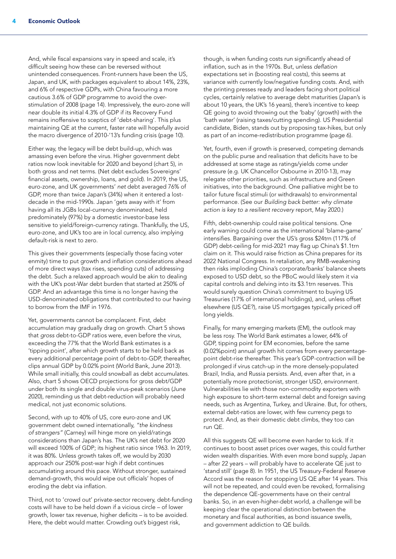And, while fiscal expansions vary in speed and scale, it's difficult seeing how these can be reversed without unintended consequences. Front-runners have been the US, Japan, and UK, with packages equivalent to about 14%, 23%, and 6% of respective GDPs, with China favouring a more cautious 3.6% of GDP programme to avoid the overstimulation of 2008 (page 14). Impressively, the euro-zone will near double its initial 4.3% of GDP if its Recovery Fund remains inoffensive to sceptics of 'debt-sharing'. This plus maintaining QE at the current, faster rate will hopefully avoid the macro divergence of 2010-'13's funding crisis (page 10).

Either way, the legacy will be debt build-up, which was amassing even before the virus. Higher government debt ratios now look inevitable for 2020 and beyond (chart 5), in both gross and net terms. (Net debt excludes Sovereigns' financial assets, ownership, loans, and gold). In 2019, the US, euro-zone, and UK governments' *net* debt averaged 76% of GDP, more than twice Japan's (34%) when it entered a lostdecade in the mid-1990s. Japan 'gets away with it' from having all its JGBs local-currency denominated, held predominately (97%) by a domestic investor-base less sensitive to yield/foreign-currency ratings. Thankfully, the US, euro-zone, and UK's too are in local currency, also implying default-risk is next to zero.

This gives their governments (especially those facing voter enmity) time to put growth and inflation considerations ahead of more direct ways (tax rises, spending cuts) of addressing the debt. Such a relaxed approach would be akin to dealing with the UK's post-War debt burden that started at 250% of GDP. And an advantage this time is no longer having the USD-denominated obligations that contributed to our having to borrow from the IMF in 1976.

Yet, governments cannot be complacent. First, debt accumulation may gradually drag on growth. Chart 5 shows that *gross* debt-to-GDP ratios were, even before the virus, exceeding the 77% that the World Bank estimates is a 'tipping point', after which growth starts to be held back as every additional percentage point of debt-to-GDP, thereafter, clips annual GDP by 0.02% point (World Bank, June 2013). While small initially, this could snowball as debt accumulates. Also, chart 5 shows OECD projections for gross debt/GDP under both its single and double virus-peak scenarios (June 2020), reminding us that debt-reduction will probably need medical, not just economic solutions.

Second, with up to 40% of US, core euro-zone and UK government debt owned internationally, *"the kindness of strangers"* (Carney) will hinge more on yield/ratings considerations than Japan's has. The UK's net debt for 2020 will exceed 100% of GDP; its highest ratio since 1963. In 2019, it was 80%. Unless growth takes off, we would by 2030 approach our 250% post-war high if debt continues accumulating around this pace. Without stronger, sustained demand-growth, this would wipe out officials' hopes of eroding the debt via inflation.

Third, not to 'crowd out' private-sector recovery, debt-funding costs will have to be held down if a vicious circle – of lower growth, lower tax revenue, higher deficits – is to be avoided. Here, the debt would matter. Crowding out's biggest risk,

though, is when funding costs run significantly ahead of inflation, such as in the 1970s. But, unless *deflation* expectations set in (boosting real costs), this seems at variance with currently low/negative funding costs. And, with the printing presses ready and leaders facing short political cycles, certainly relative to average debt maturities (Japan's is about 10 years, the UK's 16 years), there's incentive to keep QE going to avoid throwing out the 'baby' (growth) with the 'bath water' (raising taxes/cutting spending). US Presidential candidate, Biden, stands out by proposing tax-hikes, but only as part of an income-redistribution programme (page 6).

Yet, fourth, even if growth is preserved, competing demands on the public purse and realisation that deficits have to be addressed at some stage as ratings/yields come under pressure (e.g. UK Chancellor Osbourne in 2010-13), may relegate other priorities, such as infrastructure and Green initiatives, into the background. One palliative might be to tailor future fiscal stimuli (or withdrawals) to environmental performance. (See our *Building back better: why climate action is key to a resilient recovery* report, May 2020.)

Fifth, debt-ownership could raise political tensions. One early warning could come as the international 'blame-game' intensifies. Bargaining over the US's gross \$24trn (117% of GDP) debt-ceiling for mid-2021 may flag up China's \$1.1trn claim on it. This would raise friction as China prepares for its 2022 National Congress. In retaliation, any RMB-weakening then risks imploding China's corporate/banks' balance sheets exposed to USD debt, so the PBoC would likely stem it via capital controls and delving into its \$3.1trn reserves. This would surely question China's commitment to buying US Treasuries (17% of international holdings), and, unless offset elsewhere (US QE?), raise US mortgages typically priced off long yields.

Finally, for many emerging markets (EM), the outlook may be less rosy. The World Bank estimates a lower, 64% of GDP, tipping point for EM economies, before the same (0.02%point) annual growth hit comes from every percentagepoint debt-rise thereafter. This year's GDP-contraction will be prolonged if virus catch-up in the more densely-populated Brazil, India, and Russia persists. And, even after that, in a potentially more protectionist, stronger USD, environment. Vulnerabilities lie with those non-commodity exporters with high exposure to short-term external debt and foreign saving needs, such as Argentina, Turkey, and Ukraine. But, for others, external debt-ratios are lower, with few currency pegs to protect. And, as their domestic debt climbs, they too can run QE.

All this suggests QE will become even harder to kick. If it continues to boost asset prices over wages, this could further widen wealth disparities. With even more bond supply, Japan – after 22 years – will probably have to accelerate QE just to 'stand still' (page 8). In 1951, the US Treasury-Federal Reserve Accord was the reason for stopping US QE after 14 years. This will not be repeated, and could even be revoked, formalising the dependence QE-governments have on their central banks. So, in an even-higher-debt world, a challenge will be keeping clear the operational distinction between the monetary and fiscal authorities, as bond issuance swells, and government addiction to QE builds.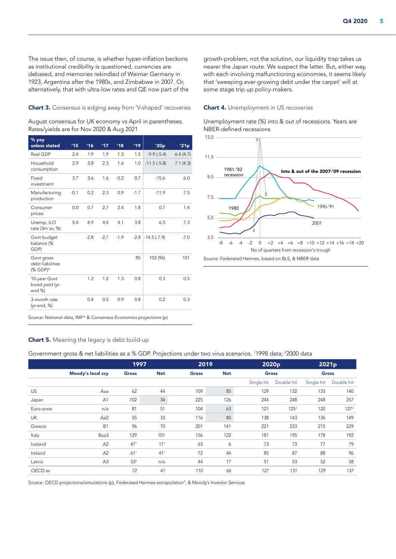The issue then, of course, is whether hyper-inflation beckons as institutional credibility is questioned, currencies are debased, and memories rekindled of Weimar Germany in 1923, Argentina after the 1980s, and Zimbabwe in 2007. Or, alternatively, that with ultra-low rates and QE now part of the

#### Chart 3. Consensus is edging away from 'V-shaped' recoveries

August consensus for UK economy vs April in parentheses. Rates/yields are for Nov 2020 & Aug 2021

| % yoy<br>unless stated                     | 115    | 116    | 17'    | 18'    | 19'    | '20p          | '21p     |
|--------------------------------------------|--------|--------|--------|--------|--------|---------------|----------|
| Real GDP                                   | 2.4    | 1.9    | 1.9    | 1.3    | 1.5    | $-9.9(-5.4)$  | 6.4(4.7) |
| Household<br>consumption                   | 2.9    | 3.8    | 2.3    | 1.6    | 1.0    | $-11.5(-5.8)$ | 7.1(4.3) |
| Fixed<br>investment                        | 3.7    | 3.6    | 1.6    | $-0.2$ | 0.7    | $-15.6$       | 6.0      |
| Manufacturing<br>production                | $-0.1$ | 0.2    | 2.3    | 0.9    | $-1.7$ | $-11.9$       | 7.5      |
| Consumer<br>prices                         | 0.0    | 0.7    | 2.7    | 2.4    | 1.8    | 0.7           | 1.4      |
| Unemp, ILO<br>rate (3m av, %)              | 5.4    | 4.9    | 4.4    | 4.1    | 3.8    | 6.5           | 7.3      |
| Govt budget<br>balance (%<br>GDP)          |        | $-2.8$ | $-2.7$ | $-1.9$ | $-2.8$ | $-14.5(-7.9)$ | $-7.0$   |
| Govt gross<br>debt liabilities<br>(% GDP)* |        |        |        |        | 85     | 102 (96)      | 101      |
| 10-year Govt<br>bond yield (yr-<br>end %)  |        | 1.2    | 1.2    | 1.3    | 0.8    | 0.3           | 0.5      |
| 3-month rate<br>(yr-end, %)                |        | 0.4    | 0.5    | 0.9    | 0.8    | 0.2           | 0.3      |
|                                            |        |        |        |        |        |               |          |

growth-problem, not the solution, our liquidity trap takes us nearer the Japan route. We suspect the latter. But, either way, with each involving malfunctioning economies, it seems likely that 'sweeping ever-growing debt under the carpet' will at some stage trip up policy-makers.

#### **Chart 4.** Unemployment in US recoveries

Unemployment rate (%) into & out of recessions. Years are NBER-defined recessions



Source: National data, IMF\* & Consensus Economics projections (p)

### Chart 5. Meaning the legacy is debt build-up

Government gross & net liabilities as a % GDP. Projections under two virus scenarios. <sup>1</sup>1998 data; <sup>2</sup>2000 data

|           |                   |                            | 1997            |              | 2019       |            | 2020p            | 2021p        |                  |  |
|-----------|-------------------|----------------------------|-----------------|--------------|------------|------------|------------------|--------------|------------------|--|
|           | Moody's local ccy | <b>Net</b><br><b>Gross</b> |                 | <b>Gross</b> | <b>Net</b> |            | <b>Gross</b>     | <b>Gross</b> |                  |  |
|           |                   |                            |                 |              |            | Single hit | Double hit       | Single hit   | Double hit       |  |
| US        | Aaa               | 62                         | 44              | 109          | 85         | 129        | 132              | 133          | 140              |  |
| Japan     | A1                | 102                        | 34              | 225          | 126        | 244        | 248              | 248          | 257              |  |
| Euro-zone | n/a               | 81                         | 51              | 104          | 63         | 121        | 125 <sup>3</sup> | 120          | 127 <sup>3</sup> |  |
| UK        | Aa2               | 55                         | 33              | 116          | 80         | 138        | 143              | 136          | 149              |  |
| Greece    | <b>B1</b>         | 96                         | 70              | 201          | 141        | 221        | 233              | 215          | 229              |  |
| Italy     | Baa3              | 129                        | 101             | 156          | 122        | 181        | 195              | 178          | 192              |  |
| Iceland   | A2                | 47 <sup>1</sup>            | 17 <sup>1</sup> | 63           | 6          | 73         | 73               | 77           | 79               |  |
| Ireland   | A2                | 61 <sup>1</sup>            | 41 <sup>1</sup> | 72           | 44         | 85         | 87               | 88           | 96               |  |
| Latvia    | A <sub>3</sub>    | 53 <sup>2</sup>            | n/a             | 44           | 17         | 51         | 53               | 52           | 58               |  |
| OECD av   |                   | 72                         | 41              | 110          | 66         | 127        | 131              | 129          | 137              |  |

Source: OECD projections/simulations (p), Federated Hermes extrapolation<sup>3</sup>, & Moody's Investor Services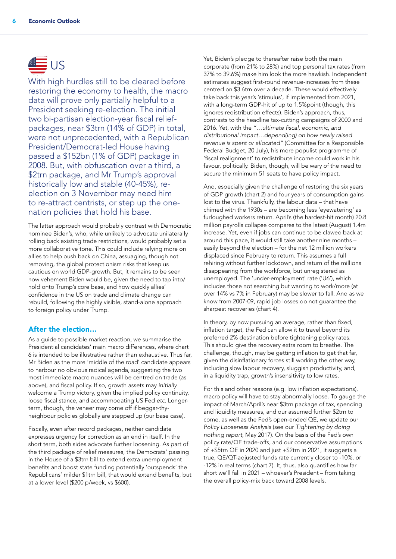# <u>Æ</u> US

With high hurdles still to be cleared before restoring the economy to health, the macro data will prove only partially helpful to a President seeking re-election. The initial two bi-partisan election-year fiscal reliefpackages, near \$3trn (14% of GDP) in total, were not unprecedented, with a Republican President/Democrat-led House having passed a \$152bn (1% of GDP) package in 2008. But, with obfuscation over a third, a \$2trn package, and Mr Trump's approval historically low and stable (40-45%), reelection on 3 November may need him to re-attract centrists, or step up the onenation policies that hold his base.

The latter approach would probably contrast with Democratic nominee Biden's, who, while unlikely to advocate unilaterally rolling back existing trade restrictions, would probably set a more collaborative tone. This could include relying more on allies to help push back on China, assuaging, though not removing, the global protectionism risks that keep us cautious on world GDP-growth. But, it remains to be seen how vehement Biden would be, given the need to tap into/ hold onto Trump's core base, and how quickly allies' confidence in the US on trade and climate change can rebuild, following the highly visible, stand-alone approach to foreign policy under Trump.

### After the election…

As a quide to possible market reaction, we summarise the Presidential candidates' main macro differences, where chart 6 is intended to be illustrative rather than exhaustive. Thus far, Mr Biden as the more 'middle of the road' candidate appears to harbour no obvious radical agenda, suggesting the two most immediate macro nuances will be centred on trade (as above), and fiscal policy. If so, growth assets may *initially* welcome a Trump victory, given the implied policy continuity, loose fiscal stance, and accommodating US Fed *etc.* Longerterm, though, the veneer may come off if beggar-thyneighbour policies globally are stepped up (our base case).

Fiscally, even after record packages, neither candidate expresses urgency for correction as an end in itself. In the short term, both sides advocate further loosening. As part of the third package of relief measures, the Democrats' passing in the House of a \$3trn bill to extend extra unemployment benefits and boost state funding potentially 'outspends' the Republicans' milder \$1trn bill, that would extend benefits, but at a lower level (\$200 p/week, vs \$600).

Yet, Biden's pledge to thereafter raise both the main corporate (from 21% to 28%) and top personal tax rates (from 37% to 39.6%) make him look the more hawkish. Independent estimates suggest first-round revenue-increases from these centred on \$3.6trn over a decade. These would effectively take back this year's 'stimulus', if implemented from 2021, with a long-term GDP-hit of up to 1.5%point (though, this ignores redistribution effects). Biden's approach, thus, contrasts to the headline tax-cutting campaigns of 2000 and 2016. Yet, with the *"…ultimate fiscal, economic, and distributional impact…depend(ing) on how newly raised revenue is spent or allocated"* (Committee for a Responsible Federal Budget, 20 July), his more populist programme of 'fiscal realignment' to redistribute income could work in his favour, politically. Biden, though, will be wary of the need to secure the minimum 51 seats to have policy impact.

And, especially given the challenge of restoring the six years of GDP growth (chart 2) and four years of consumption gains lost to the virus. Thankfully, the labour data – that have chimed with the 1930s – are becoming less 'eyewatering' as furloughed workers return. April's (the hardest-hit month) 20.8 million payrolls collapse compares to the latest (August) 1.4m increase. Yet, even if jobs can continue to be clawed back at around this pace, it would still take another nine months – easily beyond the election – for the net 12 million workers displaced since February to return. This assumes a full rehiring without further lockdown, and return of the millions disappearing from the workforce, but unregistered as unemployed. The 'under-employment' rate ('U6'), which includes those not searching but wanting to work/more (at over 14% vs 7% in February) may be slower to fall. And as we know from 2007-09, rapid job losses do not guarantee the sharpest recoveries (chart 4).

In theory, by now pursuing an average, rather than fixed, inflation target, the Fed can allow it to travel beyond its preferred 2% destination before tightening policy rates. This should give the recovery extra room to breathe. The challenge, though, may be getting inflation to get that far, given the disinflationary forces still working the other way, including slow labour recovery, sluggish productivity, and, in a liquidity trap, growth's insensitivity to low rates.

For this and other reasons (e.g. low inflation expectations), macro policy will have to stay abnormally loose. To gauge the impact of March/April's near \$3trn package of tax, spending and liquidity measures, and our assumed further \$2trn to come, as well as the Fed's open-ended QE, we update our *Policy Looseness Analysis* (see our *Tightening by doing nothing report*, May 2017). On the basis of the Fed's own policy rate/QE trade-offs, and our conservative assumptions of +\$5trn QE in 2020 and just +\$2trn in 2021, it suggests a true, QE/QT-adjusted funds rate currently closer to -10%, or -12% in real terms (chart 7). It, thus, also quantifies how far short we'll fall in 2021 – whoever's President – from taking the overall policy-mix back toward 2008 levels.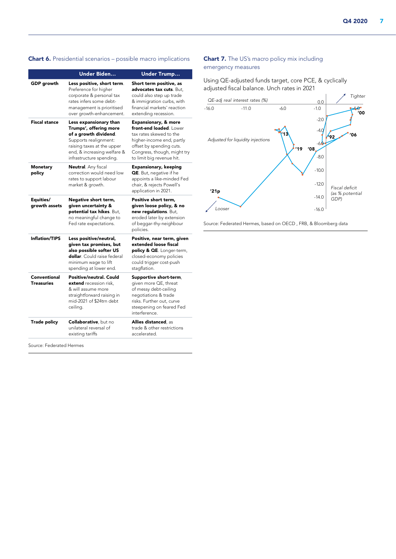### Chart 6. Presidential scenarios – possible macro implications

|                                   | <b>Under Biden</b>                                                                                                                                                                          | <b>Under Trump</b>                                                                                                                                                                                         |  |  |  |  |
|-----------------------------------|---------------------------------------------------------------------------------------------------------------------------------------------------------------------------------------------|------------------------------------------------------------------------------------------------------------------------------------------------------------------------------------------------------------|--|--|--|--|
| <b>GDP</b> growth                 | Less positive, short term.<br>Preference for higher<br>corporate & personal tax<br>rates infers some debt-<br>management is prioritised<br>over growth-enhancement.                         | Short term positive, as<br>advocates tax cuts. But,<br>could also step up trade<br>& immigration curbs, with<br>financial markets' reaction<br>extending recession.                                        |  |  |  |  |
| <b>Fiscal stance</b>              | Less expansionary than<br>Trumps', offering more<br>of a growth dividend.<br>Supports realignment:<br>raising taxes at the upper<br>end, & increasing welfare &<br>infrastructure spending. | <b>Expansionary, &amp; more</b><br>front-end loaded. Lower<br>tax rates skewed to the<br>higher-income end, partly<br>offset by spending cuts.<br>Congress, though, might try<br>to limit big revenue hit. |  |  |  |  |
| Monetary<br>policy                | <b>Neutral</b> . Any fiscal<br>correction would need low<br>rates to support labour<br>market & growth.                                                                                     | <b>Expansionary, keeping</b><br>QE. But, negative if he<br>appoints a like-minded Fed<br>chair, & rejects Powell's<br>application in 2021.                                                                 |  |  |  |  |
| Equities/<br>growth assets        | Negative short term,<br>given uncertainty &<br>potential tax hikes. But.<br>no meaningful change to<br>Fed rate expectations.                                                               | Positive short term,<br>given loose policy, & no<br>new requlations. But,<br>eroded later by extension<br>of beggar-thy-neighbour<br>policies.                                                             |  |  |  |  |
| <b>Inflation/TIPS</b>             | Less positive/neutral,<br>given tax promises, but<br>also possible softer US<br>dollar. Could raise federal<br>minimum wage to lift<br>spending at lower end.                               | Positive, near term, given<br>extended loose fiscal<br>policy & QE. Longer-term,<br>closed-economy policies<br>could trigger cost-push<br>stagflation.                                                     |  |  |  |  |
| Conventional<br><b>Treasuries</b> | Positive/neutral. Could<br>extend recession risk,<br>& will assume more<br>straightforward raising in<br>mid-2021 of \$24trn debt<br>ceiling.                                               | Supportive short-term,<br>given more QE, threat<br>of messy debt-ceiling<br>negotiations & trade<br>risks. Further out, curve<br>steepening on feared Fed<br>interference.                                 |  |  |  |  |
| <b>Trade policy</b>               | Collaborative, but no<br>unilateral reversal of<br>existing tariffs                                                                                                                         | <b>Allies distanced</b> , as<br>trade & other restrictions<br>accelerated.                                                                                                                                 |  |  |  |  |

Source: Federated Hermes

### Chart 7. The US's macro policy mix including emergency measures

Using QE-adjusted funds target, core PCE, & cyclically adjusted fiscal balance. Unch rates in 2021



Source: Federated Hermes, based on OECD , FRB, & Bloomberg data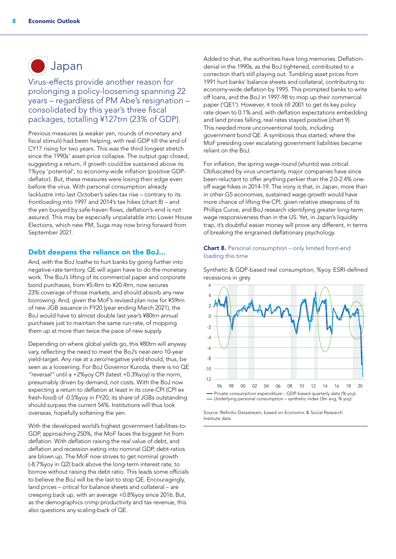# Japan

Virus-effects provide another reason for prolonging a policy-loosening spanning 22 years – regardless of PM Abe's resignation – consolidated by this year's three fiscal packages, totalling ¥127trn (23% of GDP).

Previous measures (a weaker yen, rounds of monetary and fiscal stimuli) had been helping, with real GDP till the end of CY17 rising for two years. This was the third longest stretch since the 1990s' asset-price collapse. The output gap closed, suggesting a return, if growth could be sustained above its 1%yoy 'potential', to economy-wide inflation (positive GDPdeflator). But, these measures were losing their edge even before the virus. With personal consumption already lacklustre into last October's sales-tax rise – contrary to its *frontloading* into 1997 and 2014's tax hikes (chart 8) – and the yen buoyed by safe-haven flows, deflation's-end is not assured. This may be especially unpalatable into Lower House Elections, which new PM, Suga may now bring forward from September 2021.

### Debt deepens the reliance on the BoJ...

And, with the BoJ loathe to hurt banks by going further into negative-rate territory, QE will again have to do the monetary work. The BoJ's lifting of its commercial paper and corporate bond purchases, from ¥5.4trn to ¥20.4trn, now secures 23% coverage of those markets, and should absorb any new borrowing. And, given the MoF's revised plan now for ¥59trn of new JGB issuance in FY20 (year ending March 2021), the BoJ would have to almost double last year's ¥80trn annual purchases just to maintain the same run-rate, of mopping them up at more than twice the pace of new supply.

Depending on where global yields go, this ¥80trn will anyway vary, reflecting the need to meet the BoJ's near-zero 10-year yield-target. Any rise at a zero/negative yield should, thus, be seen as a loosening. For BoJ Governor Kuroda, there is no QE *"reversal"* until a +2%yoy CPI (latest +0.3%yoy) is the norm, presumably driven by demand, not costs. With the BoJ now expecting a return to deflation at least in its core-CPI (CPI ex fresh-food) of -0.5%yoy in FY20, its share of JGBs outstanding should surpass the current 54%. Institutions will thus look overseas, hopefully softening the yen.

With the developed world's highest government liabilities-to-GDP, approaching 250%, the MoF faces the biggest hit from deflation. With deflation raising the real value of debt, and deflation and recession eating into nominal GDP, debt-ratios are blown up. The MoF now strives to get nominal growth (-8.7%yoy in Q2) back above the long-term interest rate, to borrow without raising the debt ratio. This leads some officials to believe the BoJ will be the last to stop QE. Encouragingly, land prices – critical for balance sheets and collateral – are creeping back up, with an average +0.8%yoy since 2016. But, as the demographics crimp productivity and tax revenue, this also questions any scaling-back of QE.

Added to that, the authorities have long memories. Deflationdenial in the 1990s, as the BoJ tightened, contributed to a correction that's still playing out. Tumbling asset prices from 1991 hurt banks' balance sheets and collateral, contributing to economy-wide deflation by 1995. This prompted banks to write off loans, and the BoJ in 1997-98 to mop up their commercial paper ('QE1'). However, it took till 2001 to get its key policy rate down to 0.1% and, with deflation expectations embedding and land prices falling, real rates stayed positive (chart 9). This needed more unconventional tools, including government bond QE. A symbiosis thus started, where the MoF presiding over escalating government liabilities became reliant on the BoJ.

For inflation, the spring wage-round (*shunto*) was critical. Obfuscated by virus uncertainty, major companies have since been reluctant to offer anything perkier than the 2.0-2.4% oneoff wage hikes in 2014-19. The irony is that, in Japan, more than in other G5 economies, sustained wage-growth would have more chance of lifting the CPI, given relative steepness of its Phillips Curve, and BoJ research identifying greater long-term wage responsiveness than in the US. Yet, in Japan's liquidity trap, it's doubtful easier money will prove any different, in terms of breaking the engrained deflationary psychology.

### Chart 8. Personal consumption – only limited front-end loading this time

Synthetic & GDP-based real consumption, %yoy. ESRI-defined recessions in grey



Source: Refinitiv Datastream, based on Economic & Social Research Institute data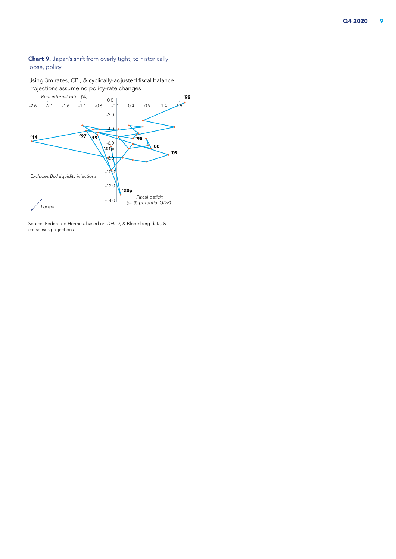### Chart 9. Japan's shift from overly tight, to historically loose, policy

Using 3m rates, CPI, & cyclically-adjusted fiscal balance. Projections assume no policy-rate changes



Source: Federated Hermes, based on OECD, & Bloomberg data, & consensus projections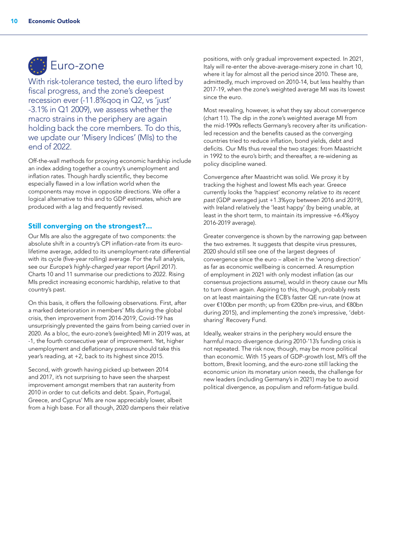

With risk-tolerance tested, the euro lifted by fiscal progress, and the zone's deepest recession ever (-11.8%qoq in Q2, vs 'just' -3.1% in Q1 2009), we assess whether the macro strains in the periphery are again holding back the core members. To do this, we update our 'Misery Indices' (MIs) to the end of 2022.

Off-the-wall methods for proxying economic hardship include an index adding together a country's unemployment and inflation rates. Though hardly scientific, they become especially flawed in a low inflation world when the components may move in opposite directions. We offer a logical alternative to this and to GDP estimates, which are produced with a lag and frequently revised.

### Still converging on the strongest?...

Our MIs are also the aggregate of two components: the absolute shift in a country's CPI inflation-rate from its eurolifetime average, added to its unemployment-rate differential with its cycle (five-year rolling) average. For the full analysis, see our *Europe's highly-charged year* report (April 2017). Charts 10 and 11 summarise our predictions to 2022. Rising MIs predict increasing economic hardship, relative to that country's past.

On this basis, it offers the following observations. First, after a marked deterioration in members' MIs during the global crisis, then improvement from 2014-2019, Covid-19 has unsurprisingly prevented the gains from being carried over in 2020. As a bloc, the euro-zone's (weighted) MI in 2019 was, at -1, the fourth consecutive year of improvement. Yet, higher unemployment and deflationary pressure should take this year's reading, at +2, back to its highest since 2015.

Second, with growth having picked up between 2014 and 2017, it's not surprising to have seen the sharpest improvement amongst members that ran austerity from 2010 in order to cut deficits and debt. Spain, Portugal, Greece, and Cyprus' MIs are now appreciably lower, albeit from a high base. For all though, 2020 dampens their relative

positions, with only gradual improvement expected. In 2021, Italy will re-enter the above-average-misery zone in chart 10, where it lay for almost all the period since 2010. These are, admittedly, much improved on 2010-14, but less healthy than 2017-19, when the zone's weighted average MI was its lowest since the euro.

Most revealing, however, is what they say about convergence (chart 11). The dip in the zone's weighted average MI from the mid-1990s reflects Germany's recovery after its unificationled recession and the benefits caused as the converging countries tried to reduce inflation, bond yields, debt and deficits. Our MIs thus reveal the two stages: from Maastricht in 1992 to the euro's birth; and thereafter, a re-widening as policy discipline waned.

Convergence after Maastricht was solid. We proxy it by tracking the highest and lowest MIs each year. Greece currently looks the 'happiest' economy *relative to its recent past* (GDP averaged just +1.3%yoy between 2016 and 2019), with Ireland relatively the 'least happy' (by being unable, at least in the short term, to maintain its impressive +6.4%yoy 2016-2019 average).

Greater convergence is shown by the narrowing gap between the two extremes. It suggests that despite virus pressures, 2020 should still see one of the largest degrees of convergence since the euro – albeit in the 'wrong direction' as far as economic wellbeing is concerned. A resumption of employment in 2021 with only modest inflation (as our consensus projections assume), would in theory cause our MIs to turn down again. Aspiring to this, though, probably rests on at least maintaining the ECB's faster QE run-rate (now at over €100bn per month; up from €20bn pre-virus, and €80bn during 2015), and implementing the zone's impressive, 'debtsharing' Recovery Fund.

Ideally, weaker strains in the periphery would ensure the harmful macro divergence during 2010-'13's funding crisis is not repeated. The risk now, though, may be more political than economic. With 15 years of GDP-growth lost, MI's off the bottom, Brexit looming, and the euro-zone still lacking the economic union its monetary union needs, the challenge for new leaders (including Germany's in 2021) may be to avoid political divergence, as populism and reform-fatigue build.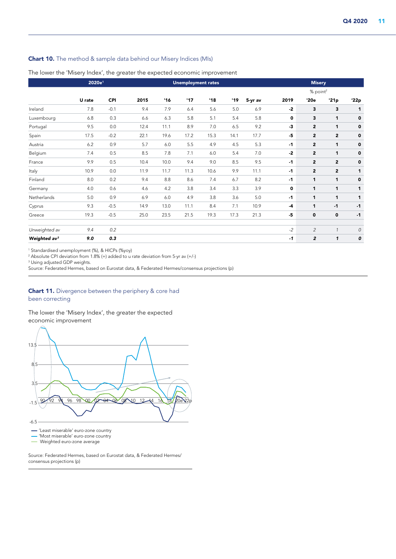### Chart 10. The method & sample data behind our Misery Indices (MIs)

The lower the 'Misery Index', the greater the expected economic improvement

|                          | 2020e <sup>1</sup> |        |      | <b>Unemployment rates</b> |      |      |      |         |      | <b>Misery</b>        |                |      |  |  |
|--------------------------|--------------------|--------|------|---------------------------|------|------|------|---------|------|----------------------|----------------|------|--|--|
|                          |                    |        |      |                           |      |      |      |         |      | % point <sup>2</sup> |                |      |  |  |
|                          | U rate             | CPI    | 2015 | 16                        | 17'  | '18  | '19  | 5-yr av | 2019 | '20e                 | '21p           | '22p |  |  |
| Ireland                  | 7.8                | $-0.1$ | 9.4  | 7.9                       | 6.4  | 5.6  | 5.0  | 6.9     | $-2$ | 3                    | 3              | 1    |  |  |
| Luxembourg               | 6.8                | 0.3    | 6.6  | 6.3                       | 5.8  | 5.1  | 5.4  | 5.8     | 0    | 3                    | $\mathbf{1}$   | 0    |  |  |
| Portugal                 | 9.5                | 0.0    | 12.4 | 11.1                      | 8.9  | 7.0  | 6.5  | 9.2     | $-3$ | $\overline{2}$       | $\mathbf{1}$   | 0    |  |  |
| Spain                    | 17.5               | $-0.2$ | 22.1 | 19.6                      | 17.2 | 15.3 | 14.1 | 17.7    | $-5$ | $\overline{2}$       | $\overline{2}$ | 0    |  |  |
| Austria                  | 6.2                | 0.9    | 5.7  | 6.0                       | 5.5  | 4.9  | 4.5  | 5.3     | $-1$ | $\overline{2}$       | 1              | 0    |  |  |
| Belgium                  | 7.4                | 0.5    | 8.5  | 7.8                       | 7.1  | 6.0  | 5.4  | 7.0     | $-2$ | $\overline{2}$       | 1              | 0    |  |  |
| France                   | 9.9                | 0.5    | 10.4 | 10.0                      | 9.4  | 9.0  | 8.5  | 9.5     | $-1$ | $\overline{2}$       | $\mathbf{2}$   | 0    |  |  |
| Italy                    | 10.9               | 0.0    | 11.9 | 11.7                      | 11.3 | 10.6 | 9.9  | 11.1    | $-1$ | $\overline{2}$       | $\mathbf{2}$   | 1    |  |  |
| Finland                  | 8.0                | 0.2    | 9.4  | 8.8                       | 8.6  | 7.4  | 6.7  | 8.2     | $-1$ | 1                    | 1              | 0    |  |  |
| Germany                  | 4.0                | 0.6    | 4.6  | 4.2                       | 3.8  | 3.4  | 3.3  | 3.9     | 0    | 1                    | 1              | 1    |  |  |
| Netherlands              | 5.0                | 0.9    | 6.9  | 6.0                       | 4.9  | 3.8  | 3.6  | 5.0     | $-1$ | 1                    | 1              | 1    |  |  |
| Cyprus                   | 9.3                | $-0.5$ | 14.9 | 13.0                      | 11.1 | 8.4  | 7.1  | 10.9    | $-4$ | 1                    | $-1$           | $-1$ |  |  |
| Greece                   | 19.3               | $-0.5$ | 25.0 | 23.5                      | 21.5 | 19.3 | 17.3 | 21.3    | $-5$ | $\mathbf 0$          | $\mathbf 0$    | $-1$ |  |  |
|                          |                    |        |      |                           |      |      |      |         |      |                      |                |      |  |  |
| Unweighted av            | 9.4                | 0.2    |      |                           |      |      |      |         | $-2$ | $\overline{c}$       | $\mathbf{1}$   | 0    |  |  |
| Weighted av <sup>3</sup> | 9.0                | 0.3    |      |                           |      |      |      |         | $-1$ | $\overline{2}$       | $\mathbf{1}$   | 0    |  |  |

1 Standardised unemployment (%), & HICPs (%yoy)

2 Absolute CPI deviation from 1.8% (+) added to u rate deviation from 5-yr av (+/-)

3 Using adjusted GDP weights.

Source: Federated Hermes, based on Eurostat data, & Federated Hermes/consensus projections (p)

### **Chart 11.** Divergence between the periphery & core had been correcting

### The lower the 'Misery Index', the greater the expected economic improvement



Source: Federated Hermes, based on Eurostat data, & Federated Hermes/ consensus projections (p)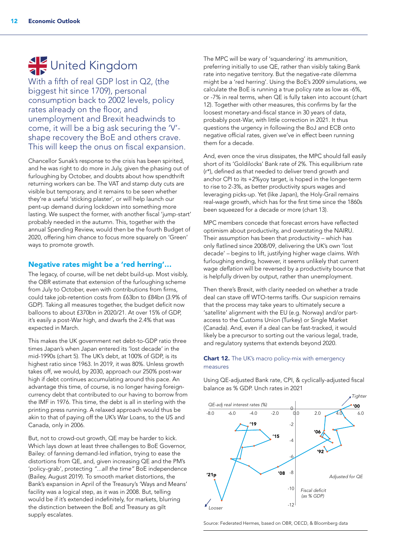# United Kingdom

With a fifth of real GDP lost in Q2, (the biggest hit since 1709), personal consumption back to 2002 levels, policy rates already on the floor, and unemployment and Brexit headwinds to come, it will be a big ask securing the 'V' shape recovery the BoE and others crave. This will keep the onus on fiscal expansion.

Chancellor Sunak's response to the crisis has been spirited, and he was right to do more in July, given the phasing out of furloughing by October, and doubts about how spendthrift returning workers can be. The VAT and stamp duty cuts are visible but temporary, and it remains to be seen whether they're a useful 'sticking plaster', or will help launch our pent-up demand during lockdown into something more lasting. We suspect the former, with another fiscal 'jump-start' probably needed in the autumn. This, together with the annual Spending Review, would then be the fourth Budget of 2020, offering him chance to focus more squarely on 'Green' ways to promote growth.

### Negative rates might be a 'red herring'…

The legacy, of course, will be net debt build-up. Most visibly, the OBR estimate that extension of the furloughing scheme from July to October, even with contributions from firms, could take job-retention costs from £63bn to £84bn (3.9% of GDP). Taking all measures together, the budget deficit now balloons to about £370bn in 2020/21. At over 15% of GDP, it's easily a post-War high, and dwarfs the 2.4% that was expected in March.

This makes the UK government net debt-to-GDP ratio three times Japan's when Japan entered its 'lost decade' in the mid-1990s (chart 5). The UK's debt, at 100% of GDP, is its highest ratio since 1963. In 2019, it was 80%. Unless growth takes off, we would, by 2030, approach our 250% post-war high if debt continues accumulating around this pace. An advantage this time, of course, is no longer having foreigncurrency debt that contributed to our having to borrow from the IMF in 1976. This time, the debt is all in sterling with the printing press running. A relaxed approach would thus be akin to that of paying off the UK's War Loans, to the US and Canada, only in 2006.

But, not to crowd-out growth, QE may be harder to kick. Which lays down at least three challenges to BoE Governor, Bailey: of fanning demand-led inflation, trying to ease the distortions from QE, and, given increasing QE and the PM's 'policy-grab', protecting *"...all the time"* BoE independence (Bailey, August 2019). To smooth market distortions, the Bank's expansion in April of the Treasury's 'Ways and Means' facility was a logical step, as it was in 2008. But, telling would be if it's extended indefinitely, for markets, blurring the distinction between the BoE and Treasury as gilt supply escalates.

The MPC will be wary of 'squandering' its ammunition, preferring initially to use QE, rather than visibly taking Bank rate into negative territory. But the negative-rate dilemma might be a 'red herring'. Using the BoE's 2009 simulations, we calculate the BoE is running a true policy rate as low as -6%, or -7% in real terms, when QE is fully taken into account (chart 12). Together with other measures, this confirms by far the loosest monetary-and-fiscal stance in 30 years of data, probably post-War, with little correction in 2021. It thus questions the urgency in following the BoJ and ECB onto negative official rates, given we've in effect been running them for a decade.

And, even once the virus dissipates, the MPC should fall easily short of its 'Goldilocks' Bank rate of 2%. This equilibrium rate (r\*), defined as that needed to deliver trend growth and anchor CPI to its +2%yoy target, is hoped in the longer-term to rise to 2-3%, as better productivity spurs wages and leveraging picks-up. Yet (like Japan), the Holy-Grail remains real-wage growth, which has for the first time since the 1860s been squeezed for a decade or more (chart 13).

MPC members concede that forecast errors have reflected optimism about productivity, and overstating the NAIRU. Their assumption has been that productivity – which has only flatlined since 2008/09, delivering the UK's own 'lost decade' – begins to lift, justifying higher wage claims. With furloughing ending, however, it seems unlikely that current wage *deflation* will be reversed by a productivity bounce that is helpfully driven by output, rather than unemployment.

Then there's Brexit, with clarity needed on whether a trade deal can stave off WTO-terms tariffs. Our suspicion remains that the process may take years to ultimately secure a 'satellite' alignment with the EU (e.g. Norway) and/or partaccess to the Customs Union (Turkey) or Single Market (Canada). And, even if a deal can be fast-tracked, it would likely be a precursor to sorting out the various legal, trade, and regulatory systems that extends beyond 2020.

### **Chart 12.** The UK's macro policy-mix with emergency measures

Using QE-adjusted Bank rate, CPI, & cyclically-adjusted fiscal balance as % GDP. Unch rates in 2021



Source: Federated Hermes, based on OBR, OECD, & Bloomberg data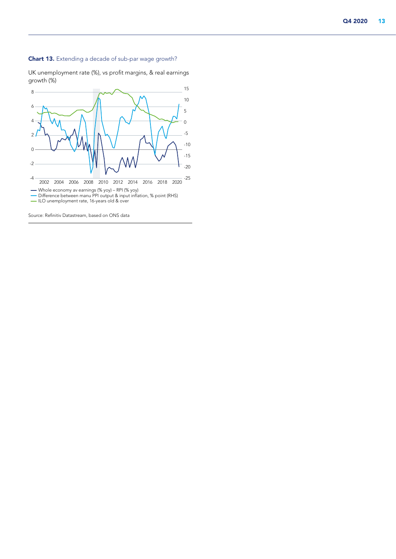### Chart 13. Extending a decade of sub-par wage growth?

UK unemployment rate (%), vs profit margins, & real earnings growth (%)



Source: Refinitiv Datastream, based on ONS data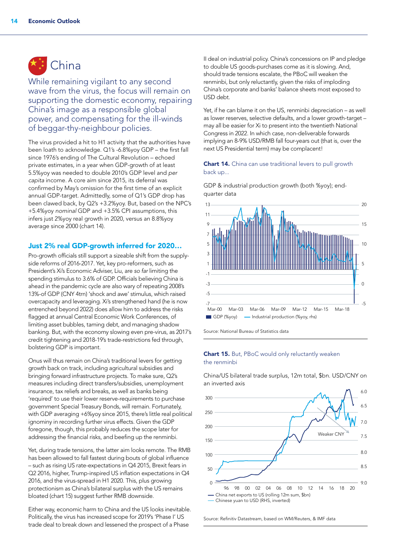# China

While remaining vigilant to any second wave from the virus, the focus will remain on supporting the domestic economy, repairing China's image as a responsible global power, and compensating for the ill-winds of beggar-thy-neighbour policies.

The virus provided a hit to H1 activity that the authorities have been loath to acknowledge. Q1's -6.8%yoy GDP – the first fall since 1976's ending of The Cultural Revolution – echoed private estimates, in a year when GDP-growth of at least 5.5%yoy was needed to double 2010's GDP level and *per capita* income. A core aim since 2015, its deferral was confirmed by May's omission for the first time of an explicit annual GDP-target. Admittedly, some of Q1's GDP drop has been clawed back, by Q2's +3.2%yoy. But, based on the NPC's +5.4%yoy *nominal* GDP and +3.5% CPI assumptions, this infers just 2%yoy real growth in 2020, versus an 8.8%yoy average since 2000 (chart 14).

### Just 2% real GDP-growth inferred for 2020…

Pro-growth officials still support a sizeable shift from the supplyside reforms of 2016-2017. Yet, key pro-reformers, such as President's Xi's Economic Adviser, Liu, are *so far* limiting the spending stimulus to 3.6% of GDP. Officials believing China is ahead in the pandemic cycle are also wary of repeating 2008's 13%-of GDP (CNY 4trn) 'shock and awe' stimulus, which raised overcapacity and leveraging. Xi's strengthened hand (he is now entrenched beyond 2022) does allow him to address the risks flagged at annual Central Economic Work Conferences, of limiting asset bubbles, taming debt, and managing shadow banking. But, with the economy slowing even pre-virus, as 2017's credit tightening and 2018-19's trade-restrictions fed through, bolstering GDP is important.

Onus will thus remain on China's traditional levers for getting growth back on track, including agricultural subsidies and bringing forward infrastructure projects. To make sure, Q2's measures including direct transfers/subsidies, unemployment insurance, tax reliefs and breaks, as well as banks being 'required' to use their lower reserve-requirements to purchase government Special Treasury Bonds, will remain. Fortunately, with GDP averaging +6%yoy since 2015, there's little real political ignominy in recording further virus effects. Given the GDP foregone, though, this probably reduces the scope later for addressing the financial risks, and beefing up the renminbi.

Yet, during trade tensions, the latter aim looks remote. The RMB has been allowed to fall fastest during bouts of global influence – such as rising US rate-expectations in Q4 2015, Brexit fears in Q2 2016, higher, Trump-inspired US inflation expectations in Q4 2016, and the virus-spread in H1 2020. This, plus growing protectionism as China's bilateral surplus with the US remains bloated (chart 15) suggest further RMB downside.

Either way, economic harm to China and the US looks inevitable. Politically, the virus has increased scope for 2019's 'Phase I' US trade deal to break down and lessened the prospect of a Phase

II deal on industrial policy. China's concessions on IP and pledge to double US goods-purchases come as it is slowing. And, should trade tensions escalate, the PBoC will weaken the renminbi, but only reluctantly, given the risks of imploding China's corporate and banks' balance sheets most exposed to USD debt.

Yet, if he can blame it on the US, renminbi depreciation – as well as lower reserves, selective defaults, and a lower growth-target – may all be easier for Xi to present into the twentieth National Congress in 2022. In which case, non-deliverable forwards implying an 8-9% USD/RMB fall four-years out (that is, over the next US Presidential term) may be complacent!

### Chart 14. China can use traditional levers to pull growth back up...

GDP & industrial production growth (both %yoy); endquarter data



Source: National Bureau of Statistics data

### Chart 15. But, PBoC would only reluctantly weaken the renminbi

China/US bilateral trade surplus, 12m total, \$bn. USD/CNY on an inverted axis



Source: Refinitiv Datastream, based on WM/Reuters, & IMF data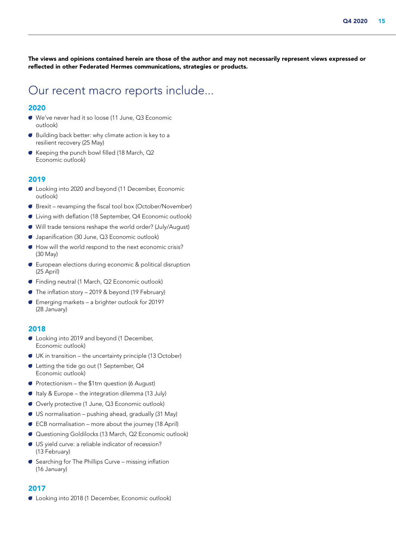The views and opinions contained herein are those of the author and may not necessarily represent views expressed or reflected in other Federated Hermes communications, strategies or products.

## Our recent macro reports include...

### 2020

- A We've never had it so loose (11 June, Q3 Economic outlook)
- $\bullet$  Building back better: why climate action is key to a resilient recovery (25 May)
- Keeping the punch bowl filled (18 March, Q2 Economic outlook)

### 2019

- A Looking into 2020 and beyond (11 December, Economic outlook)
- A Brexit revamping the fiscal tool box (October/November)
- Living with deflation (18 September, Q4 Economic outlook)
- A Will trade tensions reshape the world order? (July/August)
- Japanification (30 June, Q3 Economic outlook)
- A How will the world respond to the next economic crisis? (30 May)
- A European elections during economic & political disruption (25 April)
- Finding neutral (1 March, Q2 Economic outlook)
- $\bullet$  The inflation story 2019 & beyond (19 February)
- Emerging markets a brighter outlook for 2019? (28 January)

#### 2018

- Looking into 2019 and beyond (1 December, Economic outlook)
- $\bullet$  UK in transition the uncertainty principle (13 October)
- Letting the tide go out (1 September, Q4 Economic outlook)
- $\bullet$  Protectionism the \$1trn question (6 August)
- A Italy & Europe the integration dilemma (13 July)
- Overly protective (1 June, Q3 Economic outlook)
- $\bullet$  US normalisation pushing ahead, gradually (31 May)
- $\bullet$  ECB normalisation more about the journey (18 April)
- A Questioning Goldilocks (13 March, Q2 Economic outlook)
- A US yield curve: a reliable indicator of recession? (13 February)
- $\bullet$  Searching for The Phillips Curve missing inflation (16 January)

### 2017

A Looking into 2018 (1 December, Economic outlook)